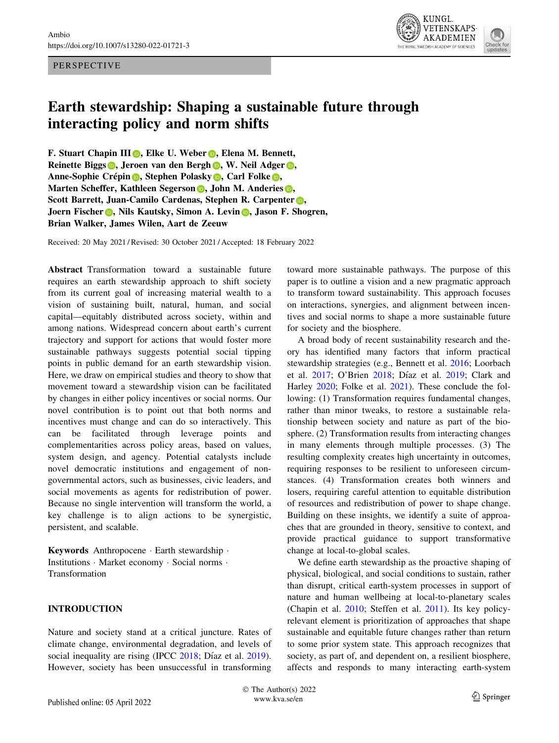### PERSPECTIVE



# Earth stewardship: Shaping a sustainable future through interacting policy and norm shifts

F. Stua[r](http://orcid.org/0000-0002-1678-3631)t Chapin III **D**, Elke U. Weber **D**, Elena M. Bennett, Reinette Bigg[s](http://orcid.org/0000-0003-0300-4149) **D**, Jeroen van den Bergh **D**, W. Neil Adger **D**, A[n](http://orcid.org/0000-0002-7370-2973)n[e](http://orcid.org/0000-0002-4050-3281)-Sophie Crépin **D**, Stephen Polasky **D**, Carl Folke **D**, Marte[n](http://orcid.org/0000-0003-2598-722X) Scheffer, Kathleen Seger[s](http://orcid.org/0000-0002-0138-8655)on D, John M. Anderies D, Scott Barrett, Juan-Camilo Cardenas, Stephen R. Carpenter  $\odot$ , Joe[r](http://orcid.org/0000-0003-3187-8978)n Fischer **D**, Nils Kautsky, Simon A. Levin **D**, Jason F. Shogren, Brian Walker, James Wilen, Aart de Zeeuw

Received: 20 May 2021 / Revised: 30 October 2021 / Accepted: 18 February 2022

Abstract Transformation toward a sustainable future requires an earth stewardship approach to shift society from its current goal of increasing material wealth to a vision of sustaining built, natural, human, and social capital—equitably distributed across society, within and among nations. Widespread concern about earth's current trajectory and support for actions that would foster more sustainable pathways suggests potential social tipping points in public demand for an earth stewardship vision. Here, we draw on empirical studies and theory to show that movement toward a stewardship vision can be facilitated by changes in either policy incentives or social norms. Our novel contribution is to point out that both norms and incentives must change and can do so interactively. This can be facilitated through leverage points and complementarities across policy areas, based on values, system design, and agency. Potential catalysts include novel democratic institutions and engagement of nongovernmental actors, such as businesses, civic leaders, and social movements as agents for redistribution of power. Because no single intervention will transform the world, a key challenge is to align actions to be synergistic, persistent, and scalable.

Keywords Anthropocene - Earth stewardship - Institutions - Market economy - Social norms - Transformation

# INTRODUCTION

Nature and society stand at a critical juncture. Rates of climate change, environmental degradation, and levels of social inequality are rising (IPCC [2018](#page-10-0); Díaz et al. [2019](#page-10-0)). However, society has been unsuccessful in transforming toward more sustainable pathways. The purpose of this paper is to outline a vision and a new pragmatic approach to transform toward sustainability. This approach focuses on interactions, synergies, and alignment between incentives and social norms to shape a more sustainable future for society and the biosphere.

A broad body of recent sustainability research and theory has identified many factors that inform practical stewardship strategies (e.g., Bennett et al. [2016;](#page-9-0) Loorbach et al. [2017;](#page-10-0) O'Brien [2018;](#page-11-0) Díaz et al. [2019](#page-10-0); Clark and Harley [2020](#page-9-0); Folke et al. [2021\)](#page-10-0). These conclude the following: (1) Transformation requires fundamental changes, rather than minor tweaks, to restore a sustainable relationship between society and nature as part of the biosphere. (2) Transformation results from interacting changes in many elements through multiple processes. (3) The resulting complexity creates high uncertainty in outcomes, requiring responses to be resilient to unforeseen circumstances. (4) Transformation creates both winners and losers, requiring careful attention to equitable distribution of resources and redistribution of power to shape change. Building on these insights, we identify a suite of approaches that are grounded in theory, sensitive to context, and provide practical guidance to support transformative change at local-to-global scales.

We define earth stewardship as the proactive shaping of physical, biological, and social conditions to sustain, rather than disrupt, critical earth-system processes in support of nature and human wellbeing at local-to-planetary scales (Chapin et al. [2010;](#page-9-0) Steffen et al. [2011](#page-11-0)). Its key policyrelevant element is prioritization of approaches that shape sustainable and equitable future changes rather than return to some prior system state. This approach recognizes that society, as part of, and dependent on, a resilient biosphere, affects and responds to many interacting earth-system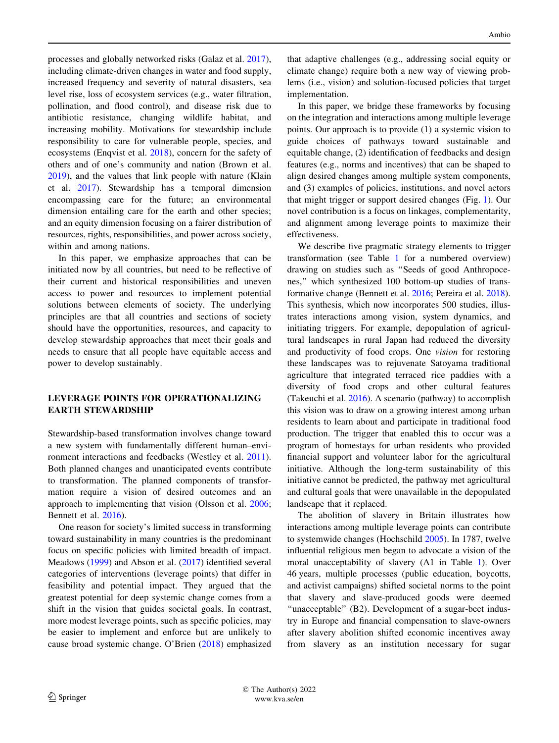processes and globally networked risks (Galaz et al. [2017](#page-10-0)), including climate-driven changes in water and food supply, increased frequency and severity of natural disasters, sea level rise, loss of ecosystem services (e.g., water filtration, pollination, and flood control), and disease risk due to antibiotic resistance, changing wildlife habitat, and increasing mobility. Motivations for stewardship include responsibility to care for vulnerable people, species, and ecosystems (Enqvist et al. [2018\)](#page-10-0), concern for the safety of others and of one's community and nation (Brown et al. [2019\)](#page-9-0), and the values that link people with nature (Klain et al. [2017\)](#page-10-0). Stewardship has a temporal dimension encompassing care for the future; an environmental dimension entailing care for the earth and other species; and an equity dimension focusing on a fairer distribution of resources, rights, responsibilities, and power across society, within and among nations.

In this paper, we emphasize approaches that can be initiated now by all countries, but need to be reflective of their current and historical responsibilities and uneven access to power and resources to implement potential solutions between elements of society. The underlying principles are that all countries and sections of society should have the opportunities, resources, and capacity to develop stewardship approaches that meet their goals and needs to ensure that all people have equitable access and power to develop sustainably.

# LEVERAGE POINTS FOR OPERATIONALIZING EARTH STEWARDSHIP

Stewardship-based transformation involves change toward a new system with fundamentally different human–environment interactions and feedbacks (Westley et al. [2011](#page-11-0)). Both planned changes and unanticipated events contribute to transformation. The planned components of transformation require a vision of desired outcomes and an approach to implementing that vision (Olsson et al. [2006](#page-11-0); Bennett et al. [2016](#page-9-0)).

One reason for society's limited success in transforming toward sustainability in many countries is the predominant focus on specific policies with limited breadth of impact. Meadows ([1999\)](#page-11-0) and Abson et al. [\(2017\)](#page-9-0) identified several categories of interventions (leverage points) that differ in feasibility and potential impact. They argued that the greatest potential for deep systemic change comes from a shift in the vision that guides societal goals. In contrast, more modest leverage points, such as specific policies, may be easier to implement and enforce but are unlikely to cause broad systemic change. O'Brien [\(2018](#page-11-0)) emphasized

that adaptive challenges (e.g., addressing social equity or climate change) require both a new way of viewing problems (i.e., vision) and solution-focused policies that target implementation.

In this paper, we bridge these frameworks by focusing on the integration and interactions among multiple leverage points. Our approach is to provide (1) a systemic vision to guide choices of pathways toward sustainable and equitable change, (2) identification of feedbacks and design features (e.g., norms and incentives) that can be shaped to align desired changes among multiple system components, and (3) examples of policies, institutions, and novel actors that might trigger or support desired changes (Fig. [1\)](#page-2-0). Our novel contribution is a focus on linkages, complementarity, and alignment among leverage points to maximize their effectiveness.

We describe five pragmatic strategy elements to trigger transformation (see Table [1](#page-2-0) for a numbered overview) drawing on studies such as ''Seeds of good Anthropocenes,'' which synthesized 100 bottom-up studies of transformative change (Bennett et al. [2016](#page-9-0); Pereira et al. [2018](#page-11-0)). This synthesis, which now incorporates 500 studies, illustrates interactions among vision, system dynamics, and initiating triggers. For example, depopulation of agricultural landscapes in rural Japan had reduced the diversity and productivity of food crops. One vision for restoring these landscapes was to rejuvenate Satoyama traditional agriculture that integrated terraced rice paddies with a diversity of food crops and other cultural features (Takeuchi et al. [2016](#page-11-0)). A scenario (pathway) to accomplish this vision was to draw on a growing interest among urban residents to learn about and participate in traditional food production. The trigger that enabled this to occur was a program of homestays for urban residents who provided financial support and volunteer labor for the agricultural initiative. Although the long-term sustainability of this initiative cannot be predicted, the pathway met agricultural and cultural goals that were unavailable in the depopulated landscape that it replaced.

The abolition of slavery in Britain illustrates how interactions among multiple leverage points can contribute to systemwide changes (Hochschild [2005\)](#page-10-0). In 1787, twelve influential religious men began to advocate a vision of the moral unacceptability of slavery (A1 in Table [1\)](#page-2-0). Over 46 years, multiple processes (public education, boycotts, and activist campaigns) shifted societal norms to the point that slavery and slave-produced goods were deemed "unacceptable" (B2). Development of a sugar-beet industry in Europe and financial compensation to slave-owners after slavery abolition shifted economic incentives away from slavery as an institution necessary for sugar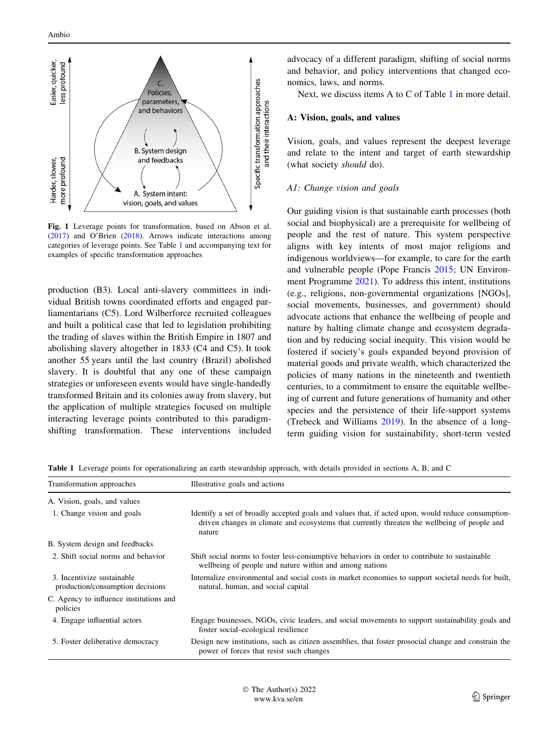<span id="page-2-0"></span>

Fig. 1 Leverage points for transformation, based on Abson et al. ([2017\)](#page-9-0) and O'Brien ([2018\)](#page-11-0). Arrows indicate interactions among categories of leverage points. See Table 1 and accompanying text for examples of specific transformation approaches

production (B3). Local anti-slavery committees in individual British towns coordinated efforts and engaged parliamentarians (C5). Lord Wilberforce recruited colleagues and built a political case that led to legislation prohibiting the trading of slaves within the British Empire in 1807 and abolishing slavery altogether in 1833 (C4 and C5). It took another 55 years until the last country (Brazil) abolished slavery. It is doubtful that any one of these campaign strategies or unforeseen events would have single-handedly transformed Britain and its colonies away from slavery, but the application of multiple strategies focused on multiple interacting leverage points contributed to this paradigmshifting transformation. These interventions included advocacy of a different paradigm, shifting of social norms and behavior, and policy interventions that changed economics, laws, and norms.

Next, we discuss items A to C of Table 1 in more detail.

### A: Vision, goals, and values

Vision, goals, and values represent the deepest leverage and relate to the intent and target of earth stewardship (what society should do).

### A1: Change vision and goals

Our guiding vision is that sustainable earth processes (both social and biophysical) are a prerequisite for wellbeing of people and the rest of nature. This system perspective aligns with key intents of most major religions and indigenous worldviews—for example, to care for the earth and vulnerable people (Pope Francis [2015](#page-11-0); UN Environment Programme [2021\)](#page-11-0). To address this intent, institutions (e.g., religions, non-governmental organizations [NGOs], social movements, businesses, and government) should advocate actions that enhance the wellbeing of people and nature by halting climate change and ecosystem degradation and by reducing social inequity. This vision would be fostered if society's goals expanded beyond provision of material goods and private wealth, which characterized the policies of many nations in the nineteenth and twentieth centuries, to a commitment to ensure the equitable wellbeing of current and future generations of humanity and other species and the persistence of their life-support systems (Trebeck and Williams [2019](#page-11-0)). In the absence of a longterm guiding vision for sustainability, short-term vested

| Transformation approaches                                      | Illustrative goals and actions                                                                                                                                                                               |
|----------------------------------------------------------------|--------------------------------------------------------------------------------------------------------------------------------------------------------------------------------------------------------------|
| A. Vision, goals, and values                                   |                                                                                                                                                                                                              |
| 1. Change vision and goals                                     | Identify a set of broadly accepted goals and values that, if acted upon, would reduce consumption-<br>driven changes in climate and ecosystems that currently threaten the wellbeing of people and<br>nature |
| B. System design and feedbacks                                 |                                                                                                                                                                                                              |
| 2. Shift social norms and behavior                             | Shift social norms to foster less-consumptive behaviors in order to contribute to sustainable<br>wellbeing of people and nature within and among nations                                                     |
| 3. Incentivize sustainable<br>production/consumption decisions | Internalize environmental and social costs in market economies to support societal needs for built,<br>natural, human, and social capital                                                                    |
| C. Agency to influence institutions and<br>policies            |                                                                                                                                                                                                              |
| 4. Engage influential actors                                   | Engage businesses, NGOs, civic leaders, and social movements to support sustainability goals and<br>foster social-ecological resilience                                                                      |
| 5. Foster deliberative democracy                               | Design new institutions, such as citizen assemblies, that foster prosocial change and constrain the<br>power of forces that resist such changes                                                              |

Table 1 Leverage points for operationalizing an earth stewardship approach, with details provided in sections A, B, and C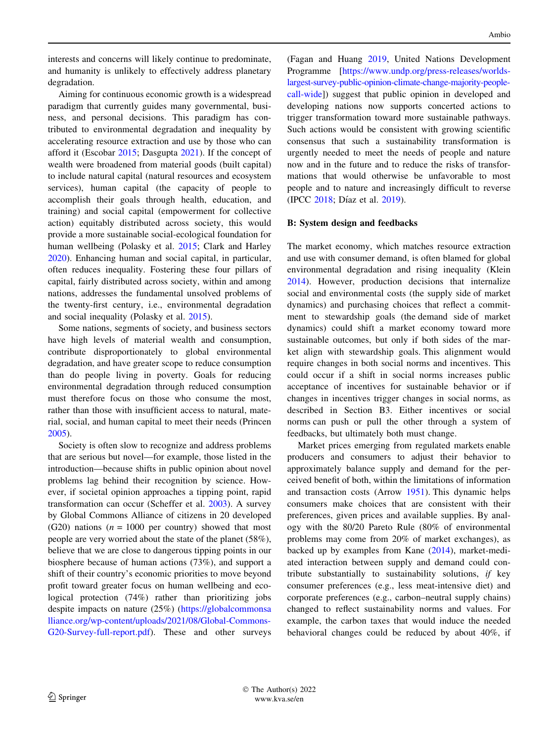interests and concerns will likely continue to predominate, and humanity is unlikely to effectively address planetary degradation.

Aiming for continuous economic growth is a widespread paradigm that currently guides many governmental, business, and personal decisions. This paradigm has contributed to environmental degradation and inequality by accelerating resource extraction and use by those who can afford it (Escobar [2015;](#page-10-0) Dasgupta [2021\)](#page-10-0). If the concept of wealth were broadened from material goods (built capital) to include natural capital (natural resources and ecosystem services), human capital (the capacity of people to accomplish their goals through health, education, and training) and social capital (empowerment for collective action) equitably distributed across society, this would provide a more sustainable social-ecological foundation for human wellbeing (Polasky et al. [2015](#page-11-0); Clark and Harley [2020\)](#page-9-0). Enhancing human and social capital, in particular, often reduces inequality. Fostering these four pillars of capital, fairly distributed across society, within and among nations, addresses the fundamental unsolved problems of the twenty-first century, i.e., environmental degradation and social inequality (Polasky et al. [2015\)](#page-11-0).

Some nations, segments of society, and business sectors have high levels of material wealth and consumption, contribute disproportionately to global environmental degradation, and have greater scope to reduce consumption than do people living in poverty. Goals for reducing environmental degradation through reduced consumption must therefore focus on those who consume the most, rather than those with insufficient access to natural, material, social, and human capital to meet their needs (Princen [2005\)](#page-11-0).

Society is often slow to recognize and address problems that are serious but novel—for example, those listed in the introduction—because shifts in public opinion about novel problems lag behind their recognition by science. However, if societal opinion approaches a tipping point, rapid transformation can occur (Scheffer et al. [2003](#page-11-0)). A survey by Global Commons Alliance of citizens in 20 developed (G20) nations ( $n = 1000$  per country) showed that most people are very worried about the state of the planet (58%), believe that we are close to dangerous tipping points in our biosphere because of human actions (73%), and support a shift of their country's economic priorities to move beyond profit toward greater focus on human wellbeing and ecological protection (74%) rather than prioritizing jobs despite impacts on nature (25%) ([https://globalcommonsa](https://globalcommonsalliance.org/wp-content/uploads/2021/08/Global-Commons-G20-Survey-full-report.pdf) [lliance.org/wp-content/uploads/2021/08/Global-Commons-](https://globalcommonsalliance.org/wp-content/uploads/2021/08/Global-Commons-G20-Survey-full-report.pdf)[G20-Survey-full-report.pdf](https://globalcommonsalliance.org/wp-content/uploads/2021/08/Global-Commons-G20-Survey-full-report.pdf)). These and other surveys (Fagan and Huang [2019](#page-10-0), United Nations Development Programme [[https://www.undp.org/press-releases/worlds](https://www.undp.org/press-releases/worlds-largest-survey-public-opinion-climate-change-majority-people-call-wide)[largest-survey-public-opinion-climate-change-majority-people](https://www.undp.org/press-releases/worlds-largest-survey-public-opinion-climate-change-majority-people-call-wide)[call-wide](https://www.undp.org/press-releases/worlds-largest-survey-public-opinion-climate-change-majority-people-call-wide)]) suggest that public opinion in developed and developing nations now supports concerted actions to trigger transformation toward more sustainable pathways. Such actions would be consistent with growing scientific consensus that such a sustainability transformation is urgently needed to meet the needs of people and nature now and in the future and to reduce the risks of transformations that would otherwise be unfavorable to most people and to nature and increasingly difficult to reverse (IPCC [2018;](#page-10-0) Díaz et al. [2019\)](#page-10-0).

# B: System design and feedbacks

The market economy, which matches resource extraction and use with consumer demand, is often blamed for global environmental degradation and rising inequality (Klein [2014](#page-10-0)). However, production decisions that internalize social and environmental costs (the supply side of market dynamics) and purchasing choices that reflect a commitment to stewardship goals (the demand side of market dynamics) could shift a market economy toward more sustainable outcomes, but only if both sides of the market align with stewardship goals. This alignment would require changes in both social norms and incentives. This could occur if a shift in social norms increases public acceptance of incentives for sustainable behavior or if changes in incentives trigger changes in social norms, as described in Section B3. Either incentives or social norms can push or pull the other through a system of feedbacks, but ultimately both must change.

Market prices emerging from regulated markets enable producers and consumers to adjust their behavior to approximately balance supply and demand for the perceived benefit of both, within the limitations of information and transaction costs (Arrow [1951\)](#page-9-0). This dynamic helps consumers make choices that are consistent with their preferences, given prices and available supplies. By analogy with the 80/20 Pareto Rule (80% of environmental problems may come from 20% of market exchanges), as backed up by examples from Kane ([2014\)](#page-10-0), market-mediated interaction between supply and demand could contribute substantially to sustainability solutions, if key consumer preferences (e.g., less meat-intensive diet) and corporate preferences (e.g., carbon–neutral supply chains) changed to reflect sustainability norms and values. For example, the carbon taxes that would induce the needed behavioral changes could be reduced by about 40%, if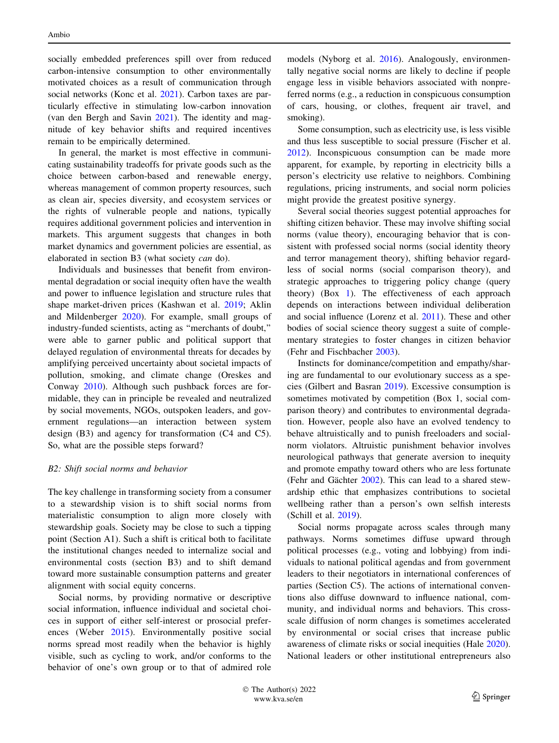socially embedded preferences spill over from reduced carbon-intensive consumption to other environmentally motivated choices as a result of communication through social networks (Konc et al. [2021\)](#page-10-0). Carbon taxes are particularly effective in stimulating low-carbon innovation (van den Bergh and Savin [2021](#page-11-0)). The identity and magnitude of key behavior shifts and required incentives remain to be empirically determined.

In general, the market is most effective in communicating sustainability tradeoffs for private goods such as the choice between carbon-based and renewable energy, whereas management of common property resources, such as clean air, species diversity, and ecosystem services or the rights of vulnerable people and nations, typically requires additional government policies and intervention in markets. This argument suggests that changes in both market dynamics and government policies are essential, as elaborated in section B3 (what society can do).

Individuals and businesses that benefit from environmental degradation or social inequity often have the wealth and power to influence legislation and structure rules that shape market-driven prices (Kashwan et al. [2019](#page-10-0); Aklin and Mildenberger [2020](#page-9-0)). For example, small groups of industry-funded scientists, acting as ''merchants of doubt,'' were able to garner public and political support that delayed regulation of environmental threats for decades by amplifying perceived uncertainty about societal impacts of pollution, smoking, and climate change (Oreskes and Conway [2010](#page-11-0)). Although such pushback forces are formidable, they can in principle be revealed and neutralized by social movements, NGOs, outspoken leaders, and government regulations—an interaction between system design (B3) and agency for transformation (C4 and C5). So, what are the possible steps forward?

# B2: Shift social norms and behavior

The key challenge in transforming society from a consumer to a stewardship vision is to shift social norms from materialistic consumption to align more closely with stewardship goals. Society may be close to such a tipping point (Section A1). Such a shift is critical both to facilitate the institutional changes needed to internalize social and environmental costs (section B3) and to shift demand toward more sustainable consumption patterns and greater alignment with social equity concerns.

Social norms, by providing normative or descriptive social information, influence individual and societal choices in support of either self-interest or prosocial preferences (Weber [2015](#page-11-0)). Environmentally positive social norms spread most readily when the behavior is highly visible, such as cycling to work, and/or conforms to the behavior of one's own group or to that of admired role

models (Nyborg et al. [2016](#page-11-0)). Analogously, environmentally negative social norms are likely to decline if people engage less in visible behaviors associated with nonpreferred norms (e.g., a reduction in conspicuous consumption of cars, housing, or clothes, frequent air travel, and smoking).

Some consumption, such as electricity use, is less visible and thus less susceptible to social pressure (Fischer et al. [2012](#page-10-0)). Inconspicuous consumption can be made more apparent, for example, by reporting in electricity bills a person's electricity use relative to neighbors. Combining regulations, pricing instruments, and social norm policies might provide the greatest positive synergy.

Several social theories suggest potential approaches for shifting citizen behavior. These may involve shifting social norms (value theory), encouraging behavior that is consistent with professed social norms (social identity theory and terror management theory), shifting behavior regardless of social norms (social comparison theory), and strategic approaches to triggering policy change (query theory) (Box [1](#page-5-0)). The effectiveness of each approach depends on interactions between individual deliberation and social influence (Lorenz et al. [2011](#page-10-0)). These and other bodies of social science theory suggest a suite of complementary strategies to foster changes in citizen behavior (Fehr and Fischbacher [2003](#page-10-0)).

Instincts for dominance/competition and empathy/sharing are fundamental to our evolutionary success as a species (Gilbert and Basran [2019\)](#page-10-0). Excessive consumption is sometimes motivated by competition (Box 1, social comparison theory) and contributes to environmental degradation. However, people also have an evolved tendency to behave altruistically and to punish freeloaders and socialnorm violators. Altruistic punishment behavior involves neurological pathways that generate aversion to inequity and promote empathy toward others who are less fortunate (Fehr and Gächter  $2002$ ). This can lead to a shared stewardship ethic that emphasizes contributions to societal wellbeing rather than a person's own selfish interests (Schill et al. [2019\)](#page-11-0).

Social norms propagate across scales through many pathways. Norms sometimes diffuse upward through political processes (e.g., voting and lobbying) from individuals to national political agendas and from government leaders to their negotiators in international conferences of parties (Section C5). The actions of international conventions also diffuse downward to influence national, community, and individual norms and behaviors. This crossscale diffusion of norm changes is sometimes accelerated by environmental or social crises that increase public awareness of climate risks or social inequities (Hale [2020](#page-10-0)). National leaders or other institutional entrepreneurs also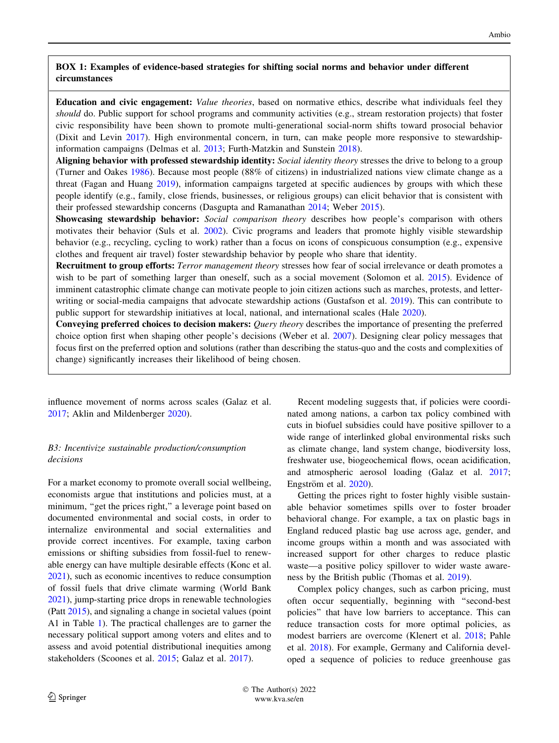# <span id="page-5-0"></span>BOX 1: Examples of evidence-based strategies for shifting social norms and behavior under different circumstances

Education and civic engagement: Value theories, based on normative ethics, describe what individuals feel they should do. Public support for school programs and community activities (e.g., stream restoration projects) that foster civic responsibility have been shown to promote multi-generational social-norm shifts toward prosocial behavior (Dixit and Levin [2017](#page-10-0)). High environmental concern, in turn, can make people more responsive to stewardshipinformation campaigns (Delmas et al. [2013](#page-10-0); Furth-Matzkin and Sunstein [2018](#page-10-0)).

Aligning behavior with professed stewardship identity: Social identity theory stresses the drive to belong to a group (Turner and Oakes [1986](#page-11-0)). Because most people (88% of citizens) in industrialized nations view climate change as a threat (Fagan and Huang [2019\)](#page-10-0), information campaigns targeted at specific audiences by groups with which these people identify (e.g., family, close friends, businesses, or religious groups) can elicit behavior that is consistent with their professed stewardship concerns (Dasgupta and Ramanathan [2014](#page-10-0); Weber [2015](#page-11-0)).

Showcasing stewardship behavior: Social comparison theory describes how people's comparison with others motivates their behavior (Suls et al. [2002](#page-11-0)). Civic programs and leaders that promote highly visible stewardship behavior (e.g., recycling, cycling to work) rather than a focus on icons of conspicuous consumption (e.g., expensive clothes and frequent air travel) foster stewardship behavior by people who share that identity.

Recruitment to group efforts: Terror management theory stresses how fear of social irrelevance or death promotes a wish to be part of something larger than oneself, such as a social movement (Solomon et al. [2015](#page-11-0)). Evidence of imminent catastrophic climate change can motivate people to join citizen actions such as marches, protests, and letter-writing or social-media campaigns that advocate stewardship actions (Gustafson et al. [2019](#page-10-0)). This can contribute to public support for stewardship initiatives at local, national, and international scales (Hale [2020\)](#page-10-0).

Conveying preferred choices to decision makers: Query theory describes the importance of presenting the preferred choice option first when shaping other people's decisions (Weber et al. [2007\)](#page-11-0). Designing clear policy messages that focus first on the preferred option and solutions (rather than describing the status-quo and the costs and complexities of change) significantly increases their likelihood of being chosen.

influence movement of norms across scales (Galaz et al. [2017;](#page-10-0) Aklin and Mildenberger [2020\)](#page-9-0).

# B3: Incentivize sustainable production/consumption decisions

For a market economy to promote overall social wellbeing, economists argue that institutions and policies must, at a minimum, "get the prices right," a leverage point based on documented environmental and social costs, in order to internalize environmental and social externalities and provide correct incentives. For example, taxing carbon emissions or shifting subsidies from fossil-fuel to renewable energy can have multiple desirable effects (Konc et al. [2021\)](#page-10-0), such as economic incentives to reduce consumption of fossil fuels that drive climate warming (World Bank [2021\)](#page-11-0), jump-starting price drops in renewable technologies (Patt [2015](#page-11-0)), and signaling a change in societal values (point A1 in Table [1](#page-2-0)). The practical challenges are to garner the necessary political support among voters and elites and to assess and avoid potential distributional inequities among stakeholders (Scoones et al. [2015;](#page-11-0) Galaz et al. [2017](#page-10-0)).

Recent modeling suggests that, if policies were coordinated among nations, a carbon tax policy combined with cuts in biofuel subsidies could have positive spillover to a wide range of interlinked global environmental risks such as climate change, land system change, biodiversity loss, freshwater use, biogeochemical flows, ocean acidification, and atmospheric aerosol loading (Galaz et al. [2017](#page-10-0); Engström et al. [2020](#page-10-0)).

Getting the prices right to foster highly visible sustainable behavior sometimes spills over to foster broader behavioral change. For example, a tax on plastic bags in England reduced plastic bag use across age, gender, and income groups within a month and was associated with increased support for other charges to reduce plastic waste—a positive policy spillover to wider waste awareness by the British public (Thomas et al. [2019\)](#page-11-0).

Complex policy changes, such as carbon pricing, must often occur sequentially, beginning with ''second-best policies'' that have low barriers to acceptance. This can reduce transaction costs for more optimal policies, as modest barriers are overcome (Klenert et al. [2018](#page-10-0); Pahle et al. [2018](#page-11-0)). For example, Germany and California developed a sequence of policies to reduce greenhouse gas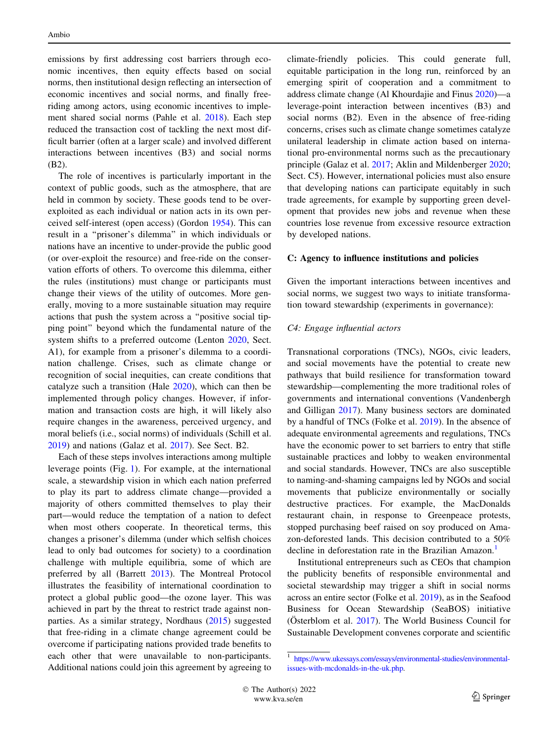emissions by first addressing cost barriers through economic incentives, then equity effects based on social norms, then institutional design reflecting an intersection of economic incentives and social norms, and finally freeriding among actors, using economic incentives to implement shared social norms (Pahle et al. [2018](#page-11-0)). Each step reduced the transaction cost of tackling the next most difficult barrier (often at a larger scale) and involved different interactions between incentives (B3) and social norms (B2).

The role of incentives is particularly important in the context of public goods, such as the atmosphere, that are held in common by society. These goods tend to be overexploited as each individual or nation acts in its own perceived self-interest (open access) (Gordon [1954](#page-10-0)). This can result in a ''prisoner's dilemma'' in which individuals or nations have an incentive to under-provide the public good (or over-exploit the resource) and free-ride on the conservation efforts of others. To overcome this dilemma, either the rules (institutions) must change or participants must change their views of the utility of outcomes. More generally, moving to a more sustainable situation may require actions that push the system across a ''positive social tipping point'' beyond which the fundamental nature of the system shifts to a preferred outcome (Lenton [2020,](#page-10-0) Sect. A1), for example from a prisoner's dilemma to a coordination challenge. Crises, such as climate change or recognition of social inequities, can create conditions that catalyze such a transition (Hale [2020](#page-10-0)), which can then be implemented through policy changes. However, if information and transaction costs are high, it will likely also require changes in the awareness, perceived urgency, and moral beliefs (i.e., social norms) of individuals (Schill et al. [2019\)](#page-11-0) and nations (Galaz et al. [2017](#page-10-0)). See Sect. B2.

Each of these steps involves interactions among multiple leverage points (Fig. [1\)](#page-2-0). For example, at the international scale, a stewardship vision in which each nation preferred to play its part to address climate change—provided a majority of others committed themselves to play their part—would reduce the temptation of a nation to defect when most others cooperate. In theoretical terms, this changes a prisoner's dilemma (under which selfish choices lead to only bad outcomes for society) to a coordination challenge with multiple equilibria, some of which are preferred by all (Barrett [2013\)](#page-9-0). The Montreal Protocol illustrates the feasibility of international coordination to protect a global public good—the ozone layer. This was achieved in part by the threat to restrict trade against nonparties. As a similar strategy, Nordhaus ([2015\)](#page-11-0) suggested that free-riding in a climate change agreement could be overcome if participating nations provided trade benefits to each other that were unavailable to non-participants. Additional nations could join this agreement by agreeing to climate-friendly policies. This could generate full, equitable participation in the long run, reinforced by an emerging spirit of cooperation and a commitment to address climate change (Al Khourdajie and Finus [2020](#page-9-0))—a leverage-point interaction between incentives (B3) and social norms (B2). Even in the absence of free-riding concerns, crises such as climate change sometimes catalyze unilateral leadership in climate action based on international pro-environmental norms such as the precautionary principle (Galaz et al. [2017](#page-10-0); Aklin and Mildenberger [2020](#page-9-0); Sect. C5). However, international policies must also ensure that developing nations can participate equitably in such trade agreements, for example by supporting green development that provides new jobs and revenue when these countries lose revenue from excessive resource extraction by developed nations.

#### C: Agency to influence institutions and policies

Given the important interactions between incentives and social norms, we suggest two ways to initiate transformation toward stewardship (experiments in governance):

### C4: Engage influential actors

Transnational corporations (TNCs), NGOs, civic leaders, and social movements have the potential to create new pathways that build resilience for transformation toward stewardship—complementing the more traditional roles of governments and international conventions (Vandenbergh and Gilligan [2017\)](#page-11-0). Many business sectors are dominated by a handful of TNCs (Folke et al. [2019](#page-10-0)). In the absence of adequate environmental agreements and regulations, TNCs have the economic power to set barriers to entry that stifle sustainable practices and lobby to weaken environmental and social standards. However, TNCs are also susceptible to naming-and-shaming campaigns led by NGOs and social movements that publicize environmentally or socially destructive practices. For example, the MacDonalds restaurant chain, in response to Greenpeace protests, stopped purchasing beef raised on soy produced on Amazon-deforested lands. This decision contributed to a 50% decline in deforestation rate in the Brazilian Amazon.<sup>1</sup>

Institutional entrepreneurs such as CEOs that champion the publicity benefits of responsible environmental and societal stewardship may trigger a shift in social norms across an entire sector (Folke et al. [2019\)](#page-10-0), as in the Seafood Business for Ocean Stewardship (SeaBOS) initiative (Österblom et al.  $2017$ ). The World Business Council for Sustainable Development convenes corporate and scientific

<sup>1</sup> [https://www.ukessays.com/essays/environmental-studies/environmental](https://www.ukessays.com/essays/environmental-studies/environmental-issues-with-mcdonalds-in-the-uk.php)[issues-with-mcdonalds-in-the-uk.php.](https://www.ukessays.com/essays/environmental-studies/environmental-issues-with-mcdonalds-in-the-uk.php)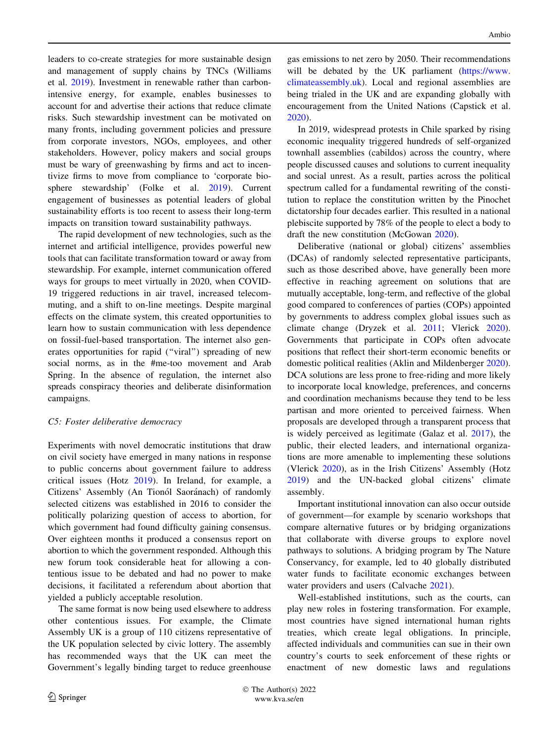leaders to co-create strategies for more sustainable design and management of supply chains by TNCs (Williams et al. [2019\)](#page-11-0). Investment in renewable rather than carbonintensive energy, for example, enables businesses to account for and advertise their actions that reduce climate risks. Such stewardship investment can be motivated on many fronts, including government policies and pressure from corporate investors, NGOs, employees, and other stakeholders. However, policy makers and social groups must be wary of greenwashing by firms and act to incentivize firms to move from compliance to 'corporate biosphere stewardship' (Folke et al. [2019](#page-10-0)). Current engagement of businesses as potential leaders of global sustainability efforts is too recent to assess their long-term impacts on transition toward sustainability pathways.

The rapid development of new technologies, such as the internet and artificial intelligence, provides powerful new tools that can facilitate transformation toward or away from stewardship. For example, internet communication offered ways for groups to meet virtually in 2020, when COVID-19 triggered reductions in air travel, increased telecommuting, and a shift to on-line meetings. Despite marginal effects on the climate system, this created opportunities to learn how to sustain communication with less dependence on fossil-fuel-based transportation. The internet also generates opportunities for rapid (''viral'') spreading of new social norms, as in the #me-too movement and Arab Spring. In the absence of regulation, the internet also spreads conspiracy theories and deliberate disinformation campaigns.

# C5: Foster deliberative democracy

Experiments with novel democratic institutions that draw on civil society have emerged in many nations in response to public concerns about government failure to address critical issues (Hotz [2019\)](#page-10-0). In Ireland, for example, a Citizens' Assembly (An Tionól Saoránach) of randomly selected citizens was established in 2016 to consider the politically polarizing question of access to abortion, for which government had found difficulty gaining consensus. Over eighteen months it produced a consensus report on abortion to which the government responded. Although this new forum took considerable heat for allowing a contentious issue to be debated and had no power to make decisions, it facilitated a referendum about abortion that yielded a publicly acceptable resolution.

The same format is now being used elsewhere to address other contentious issues. For example, the Climate Assembly UK is a group of 110 citizens representative of the UK population selected by civic lottery. The assembly has recommended ways that the UK can meet the Government's legally binding target to reduce greenhouse gas emissions to net zero by 2050. Their recommendations will be debated by the UK parliament [\(https://www.](https://www.climateassembly.uk) [climateassembly.uk](https://www.climateassembly.uk)). Local and regional assemblies are being trialed in the UK and are expanding globally with encouragement from the United Nations (Capstick et al. [2020](#page-9-0)).

In 2019, widespread protests in Chile sparked by rising economic inequality triggered hundreds of self-organized townhall assemblies (cabildos) across the country, where people discussed causes and solutions to current inequality and social unrest. As a result, parties across the political spectrum called for a fundamental rewriting of the constitution to replace the constitution written by the Pinochet dictatorship four decades earlier. This resulted in a national plebiscite supported by 78% of the people to elect a body to draft the new constitution (McGowan [2020](#page-11-0)).

Deliberative (national or global) citizens' assemblies (DCAs) of randomly selected representative participants, such as those described above, have generally been more effective in reaching agreement on solutions that are mutually acceptable, long-term, and reflective of the global good compared to conferences of parties (COPs) appointed by governments to address complex global issues such as climate change (Dryzek et al. [2011;](#page-10-0) Vlerick [2020](#page-11-0)). Governments that participate in COPs often advocate positions that reflect their short-term economic benefits or domestic political realities (Aklin and Mildenberger [2020](#page-9-0)). DCA solutions are less prone to free-riding and more likely to incorporate local knowledge, preferences, and concerns and coordination mechanisms because they tend to be less partisan and more oriented to perceived fairness. When proposals are developed through a transparent process that is widely perceived as legitimate (Galaz et al. [2017](#page-10-0)), the public, their elected leaders, and international organizations are more amenable to implementing these solutions (Vlerick [2020\)](#page-11-0), as in the Irish Citizens' Assembly (Hotz [2019](#page-10-0)) and the UN-backed global citizens' climate assembly.

Important institutional innovation can also occur outside of government—for example by scenario workshops that compare alternative futures or by bridging organizations that collaborate with diverse groups to explore novel pathways to solutions. A bridging program by The Nature Conservancy, for example, led to 40 globally distributed water funds to facilitate economic exchanges between water providers and users (Calvache [2021](#page-9-0)).

Well-established institutions, such as the courts, can play new roles in fostering transformation. For example, most countries have signed international human rights treaties, which create legal obligations. In principle, affected individuals and communities can sue in their own country's courts to seek enforcement of these rights or enactment of new domestic laws and regulations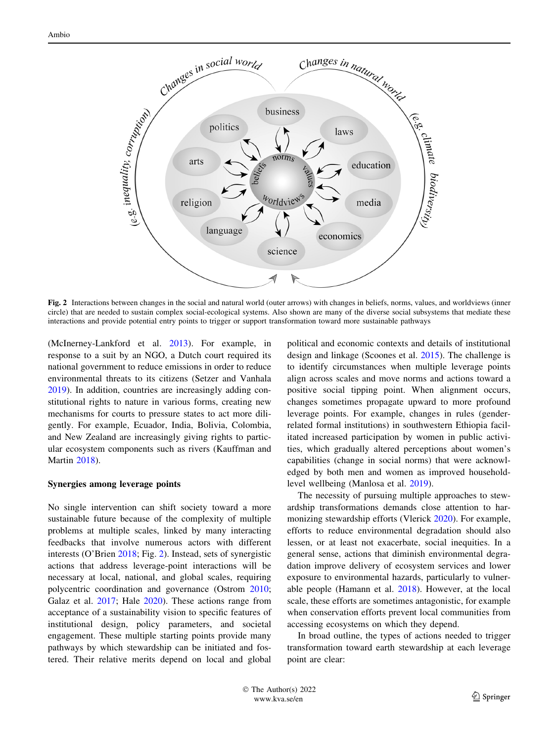

Fig. 2 Interactions between changes in the social and natural world (outer arrows) with changes in beliefs, norms, values, and worldviews (inner circle) that are needed to sustain complex social-ecological systems. Also shown are many of the diverse social subsystems that mediate these interactions and provide potential entry points to trigger or support transformation toward more sustainable pathways

(McInerney-Lankford et al. [2013](#page-11-0)). For example, in response to a suit by an NGO, a Dutch court required its national government to reduce emissions in order to reduce environmental threats to its citizens (Setzer and Vanhala [2019\)](#page-11-0). In addition, countries are increasingly adding constitutional rights to nature in various forms, creating new mechanisms for courts to pressure states to act more diligently. For example, Ecuador, India, Bolivia, Colombia, and New Zealand are increasingly giving rights to particular ecosystem components such as rivers (Kauffman and Martin [2018\)](#page-10-0).

#### Synergies among leverage points

No single intervention can shift society toward a more sustainable future because of the complexity of multiple problems at multiple scales, linked by many interacting feedbacks that involve numerous actors with different interests (O'Brien [2018;](#page-11-0) Fig. 2). Instead, sets of synergistic actions that address leverage-point interactions will be necessary at local, national, and global scales, requiring polycentric coordination and governance (Ostrom [2010](#page-11-0); Galaz et al. [2017](#page-10-0); Hale [2020](#page-10-0)). These actions range from acceptance of a sustainability vision to specific features of institutional design, policy parameters, and societal engagement. These multiple starting points provide many pathways by which stewardship can be initiated and fostered. Their relative merits depend on local and global

political and economic contexts and details of institutional design and linkage (Scoones et al. [2015](#page-11-0)). The challenge is to identify circumstances when multiple leverage points align across scales and move norms and actions toward a positive social tipping point. When alignment occurs, changes sometimes propagate upward to more profound leverage points. For example, changes in rules (genderrelated formal institutions) in southwestern Ethiopia facilitated increased participation by women in public activities, which gradually altered perceptions about women's capabilities (change in social norms) that were acknowledged by both men and women as improved householdlevel wellbeing (Manlosa et al. [2019\)](#page-11-0).

The necessity of pursuing multiple approaches to stewardship transformations demands close attention to harmonizing stewardship efforts (Vlerick [2020](#page-11-0)). For example, efforts to reduce environmental degradation should also lessen, or at least not exacerbate, social inequities. In a general sense, actions that diminish environmental degradation improve delivery of ecosystem services and lower exposure to environmental hazards, particularly to vulnerable people (Hamann et al. [2018](#page-10-0)). However, at the local scale, these efforts are sometimes antagonistic, for example when conservation efforts prevent local communities from accessing ecosystems on which they depend.

In broad outline, the types of actions needed to trigger transformation toward earth stewardship at each leverage point are clear: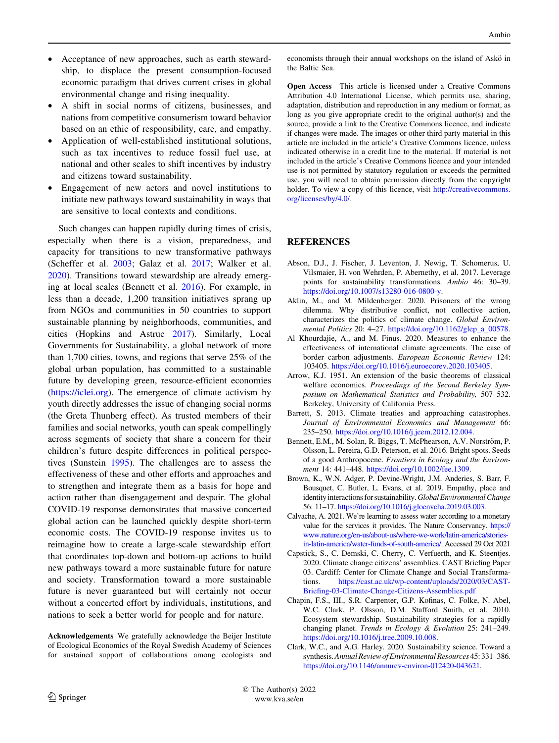- <span id="page-9-0"></span>Acceptance of new approaches, such as earth stewardship, to displace the present consumption-focused economic paradigm that drives current crises in global environmental change and rising inequality.
- A shift in social norms of citizens, businesses, and nations from competitive consumerism toward behavior based on an ethic of responsibility, care, and empathy.
- Application of well-established institutional solutions, such as tax incentives to reduce fossil fuel use, at national and other scales to shift incentives by industry and citizens toward sustainability.
- Engagement of new actors and novel institutions to initiate new pathways toward sustainability in ways that are sensitive to local contexts and conditions.

Such changes can happen rapidly during times of crisis, especially when there is a vision, preparedness, and capacity for transitions to new transformative pathways (Scheffer et al. [2003;](#page-11-0) Galaz et al. [2017](#page-10-0); Walker et al. [2020\)](#page-11-0). Transitions toward stewardship are already emerging at local scales (Bennett et al. 2016). For example, in less than a decade, 1,200 transition initiatives sprang up from NGOs and communities in 50 countries to support sustainable planning by neighborhoods, communities, and cities (Hopkins and Astruc [2017\)](#page-10-0). Similarly, Local Governments for Sustainability, a global network of more than 1,700 cities, towns, and regions that serve 25% of the global urban population, has committed to a sustainable future by developing green, resource-efficient economies [\(https://iclei.org](https://iclei.org)). The emergence of climate activism by youth directly addresses the issue of changing social norms (the Greta Thunberg effect). As trusted members of their families and social networks, youth can speak compellingly across segments of society that share a concern for their children's future despite differences in political perspectives (Sunstein [1995\)](#page-11-0). The challenges are to assess the effectiveness of these and other efforts and approaches and to strengthen and integrate them as a basis for hope and action rather than disengagement and despair. The global COVID-19 response demonstrates that massive concerted global action can be launched quickly despite short-term economic costs. The COVID-19 response invites us to reimagine how to create a large-scale stewardship effort that coordinates top-down and bottom-up actions to build new pathways toward a more sustainable future for nature and society. Transformation toward a more sustainable future is never guaranteed but will certainly not occur without a concerted effort by individuals, institutions, and nations to seek a better world for people and for nature.

Acknowledgements We gratefully acknowledge the Beijer Institute of Ecological Economics of the Royal Swedish Academy of Sciences for sustained support of collaborations among ecologists and economists through their annual workshops on the island of Askö in the Baltic Sea.

Open Access This article is licensed under a Creative Commons Attribution 4.0 International License, which permits use, sharing, adaptation, distribution and reproduction in any medium or format, as long as you give appropriate credit to the original author(s) and the source, provide a link to the Creative Commons licence, and indicate if changes were made. The images or other third party material in this article are included in the article's Creative Commons licence, unless indicated otherwise in a credit line to the material. If material is not included in the article's Creative Commons licence and your intended use is not permitted by statutory regulation or exceeds the permitted use, you will need to obtain permission directly from the copyright holder. To view a copy of this licence, visit [http://creativecommons.](http://creativecommons.org/licenses/by/4.0/) [org/licenses/by/4.0/.](http://creativecommons.org/licenses/by/4.0/)

# REFERENCES

- Abson, D.J., J. Fischer, J. Leventon, J. Newig, T. Schomerus, U. Vilsmaier, H. von Wehrden, P. Abernethy, et al. 2017. Leverage points for sustainability transformations. Ambio 46: 30–39. <https://doi.org/10.1007/s13280-016-0800-y>.
- Aklin, M., and M. Mildenberger. 2020. Prisoners of the wrong dilemma. Why distributive conflict, not collective action, characterizes the politics of climate change. Global Environmental Politics 20: 4–27. [https://doi.org/10.1162/glep\\_a\\_00578.](https://doi.org/10.1162/glep_a_00578)
- Al Khourdajie, A., and M. Finus. 2020. Measures to enhance the effectiveness of international climate agreements. The case of border carbon adjustments. European Economic Review 124: 103405. [https://doi.org/10.1016/j.euroecorev.2020.103405.](https://doi.org/10.1016/j.euroecorev.2020.103405)
- Arrow, K.J. 1951. An extension of the basic theorems of classical welfare economics. Proceedings of the Second Berkeley Symposium on Mathematical Statistics and Probability, 507–532. Berkeley, University of California Press.
- Barrett, S. 2013. Climate treaties and approaching catastrophes. Journal of Environmental Economics and Management 66: 235–250. <https://doi.org/10.1016/j.jeem.2012.12.004>.
- Bennett, E.M., M. Solan, R. Biggs, T. McPhearson, A.V. Norström, P. Olsson, L. Pereira, G.D. Peterson, et al. 2016. Bright spots. Seeds of a good Anthropocene. Frontiers in Ecology and the Environment 14: 441–448. <https://doi.org/10.1002/fee.1309>.
- Brown, K., W.N. Adger, P. Devine-Wright, J.M. Anderies, S. Barr, F. Bousquet, C. Butler, L. Evans, et al. 2019. Empathy, place and identity interactions for sustainability. Global Environmental Change 56: 11–17. <https://doi.org/10.1016/j.gloenvcha.2019.03.003>.
- Calvache, A. 2021. We're learning to assess water according to a monetary value for the services it provides. The Nature Conservancy. [https://](https://www.nature.org/en-us/about-us/where-we-work/latin-america/stories-in-latin-america/water-funds-of-south-america/) [www.nature.org/en-us/about-us/where-we-work/latin-america/stories](https://www.nature.org/en-us/about-us/where-we-work/latin-america/stories-in-latin-america/water-funds-of-south-america/)[in-latin-america/water-funds-of-south-america/](https://www.nature.org/en-us/about-us/where-we-work/latin-america/stories-in-latin-america/water-funds-of-south-america/). Accessed 29 Oct 2021
- Capstick, S., C. Demski, C. Cherry, C. Verfuerth, and K. Steentjes. 2020. Climate change citizens' assemblies. CAST Briefing Paper 03. Cardiff: Center for Climate Change and Social Transformations. [https://cast.ac.uk/wp-content/uploads/2020/03/CAST-](https://cast.ac.uk/wp-content/uploads/2020/03/CAST-Briefing-03-Climate-Change-Citizens-Assemblies.pdf)[Briefing-03-Climate-Change-Citizens-Assemblies.pdf](https://cast.ac.uk/wp-content/uploads/2020/03/CAST-Briefing-03-Climate-Change-Citizens-Assemblies.pdf)
- Chapin, F.S., III., S.R. Carpenter, G.P. Kofinas, C. Folke, N. Abel, W.C. Clark, P. Olsson, D.M. Stafford Smith, et al. 2010. Ecosystem stewardship. Sustainability strategies for a rapidly changing planet. Trends in Ecology & Evolution 25: 241–249. <https://doi.org/10.1016/j.tree.2009.10.008>.
- Clark, W.C., and A.G. Harley. 2020. Sustainability science. Toward a synthesis.Annual Review of Environmental Resources 45: 331–386. <https://doi.org/10.1146/annurev-environ-012420-043621>.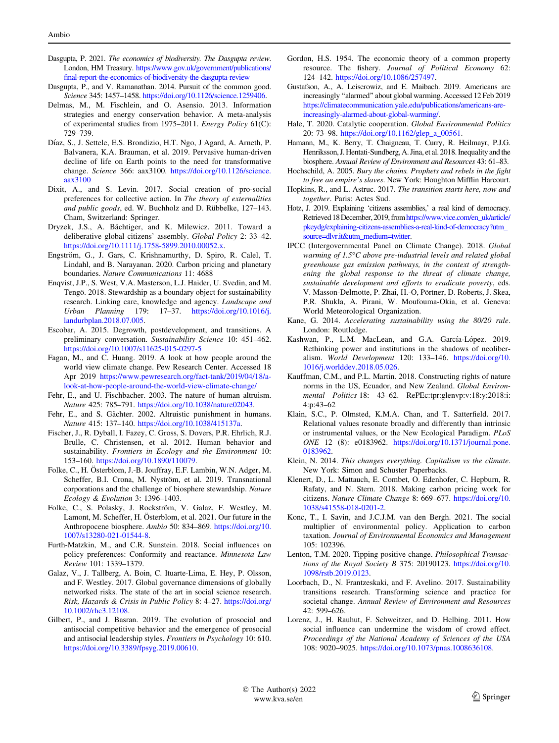- <span id="page-10-0"></span>Dasgupta, P. 2021. The economics of biodiversity. The Dasgupta review. London, HM Treasury. [https://www.gov.uk/government/publications/](https://www.gov.uk/government/publications/final-report-the-economics-of-biodiversity-the-dasgupta-review) [final-report-the-economics-of-biodiversity-the-dasgupta-review](https://www.gov.uk/government/publications/final-report-the-economics-of-biodiversity-the-dasgupta-review)
- Dasgupta, P., and V. Ramanathan. 2014. Pursuit of the common good. Science 345: 1457–1458. [https://doi.org/10.1126/science.1259406.](https://doi.org/10.1126/science.1259406)
- Delmas, M., M. Fischlein, and O. Asensio. 2013. Information strategies and energy conservation behavior. A meta-analysis of experimental studies from 1975–2011. Energy Policy 61(C): 729–739.
- Díaz, S., J. Settele, E.S. Brondizio, H.T. Ngo, J Agard, A. Arneth, P. Balvanera, K.A. Brauman, et al. 2019. Pervasive human-driven decline of life on Earth points to the need for transformative change. Science 366: aax3100. [https://doi.org/10.1126/science.](https://doi.org/10.1126/science.aax3100) [aax3100](https://doi.org/10.1126/science.aax3100)
- Dixit, A., and S. Levin. 2017. Social creation of pro-social preferences for collective action. In The theory of externalities and public goods, ed. W. Buchholz and D. Rübbelke, 127-143. Cham, Switzerland: Springer.
- Dryzek, J.S., A. Bächtiger, and K. Milewicz. 2011. Toward a deliberative global citizens' assembly. Global Policy 2: 33–42. <https://doi.org/10.1111/j.1758-5899.2010.00052.x>.
- Engström, G., J. Gars, C. Krishnamurthy, D. Spiro, R. Calel, T. Lindahl, and B. Narayanan. 2020. Carbon pricing and planetary boundaries. Nature Communications 11: 4688
- Enqvist, J.P., S. West, V.A. Masterson, L.J. Haider, U. Svedin, and M. Tengö. 2018. Stewardship as a boundary object for sustainability research. Linking care, knowledge and agency. Landscape and Urban Planning 179: 17–37. [https://doi.org/10.1016/j.](https://doi.org/10.1016/j.landurbplan.2018.07.005) [landurbplan.2018.07.005](https://doi.org/10.1016/j.landurbplan.2018.07.005).
- Escobar, A. 2015. Degrowth, postdevelopment, and transitions. A preliminary conversation. Sustainability Science 10: 451–462. <https://doi.org/10.1007/s11625-015-0297-5>
- Fagan, M., and C. Huang. 2019. A look at how people around the world view climate change. Pew Research Center. Accessed 18 Apr 2019 [https://www.pewresearch.org/fact-tank/2019/04/18/a](https://www.pewresearch.org/fact-tank/2019/04/18/a-look-at-how-people-around-the-world-view-climate-change/)[look-at-how-people-around-the-world-view-climate-change/](https://www.pewresearch.org/fact-tank/2019/04/18/a-look-at-how-people-around-the-world-view-climate-change/)
- Fehr, E., and U. Fischbacher. 2003. The nature of human altruism. Nature 425: 785–791. [https://doi.org/10.1038/nature02043.](https://doi.org/10.1038/nature02043)
- Fehr, E., and S. Gächter. 2002. Altruistic punishment in humans. Nature 415: 137–140. <https://doi.org/10.1038/415137a>.
- Fischer, J., R. Dyball, I. Fazey, C. Gross, S. Dovers, P.R. Ehrlich, R.J. Brulle, C. Christensen, et al. 2012. Human behavior and sustainability. Frontiers in Ecology and the Environment 10: 153–160. <https://doi.org/10.1890/110079>.
- Folke, C., H. Österblom, J.-B. Jouffray, E.F. Lambin, W.N. Adger, M. Scheffer, B.I. Crona, M. Nyström, et al. 2019. Transnational corporations and the challenge of biosphere stewardship. Nature Ecology & Evolution 3: 1396–1403.
- Folke, C., S. Polasky, J. Rockström, V. Galaz, F. Westley, M. Lamont, M. Scheffer, H. Österblom, et al. 2021. Our future in the Anthropocene biosphere. Ambio 50: 834–869. [https://doi.org/10.](https://doi.org/10.1007/s13280-021-01544-8) [1007/s13280-021-01544-8](https://doi.org/10.1007/s13280-021-01544-8).
- Furth-Matzkin, M., and C.R. Sunstein. 2018. Social influences on policy preferences: Conformity and reactance. Minnesota Law Review 101: 1339–1379.
- Galaz, V., J. Tallberg, A. Boin, C. Ituarte-Lima, E. Hey, P. Olsson, and F. Westley. 2017. Global governance dimensions of globally networked risks. The state of the art in social science research. Risk, Hazards & Crisis in Public Policy 8: 4–27. [https://doi.org/](https://doi.org/10.1002/rhc3.12108) [10.1002/rhc3.12108](https://doi.org/10.1002/rhc3.12108).
- Gilbert, P., and J. Basran. 2019. The evolution of prosocial and antisocial competitive behavior and the emergence of prosocial and antisocial leadership styles. Frontiers in Psychology 10: 610. <https://doi.org/10.3389/fpsyg.2019.00610>.
- Gordon, H.S. 1954. The economic theory of a common property resource. The fishery. Journal of Political Economy 62: 124–142. <https://doi.org/10.1086/257497>.
- Gustafson, A., A. Leiserowiz, and E. Maibach. 2019. Americans are increasingly ''alarmed'' about global warming. Accessed 12 Feb 2019 [https://climatecommunication.yale.edu/publications/americans-are](https://climatecommunication.yale.edu/publications/americans-are-increasingly-alarmed-about-global-warming/)[increasingly-alarmed-about-global-warming/](https://climatecommunication.yale.edu/publications/americans-are-increasingly-alarmed-about-global-warming/).
- Hale, T. 2020. Catalytic cooperation. Global Environmental Politics 20: 73–98. [https://doi.org/10.1162/glep\\_a\\_00561](https://doi.org/10.1162/glep_a_00561).
- Hamann, M., K. Berry, T. Chaigneau, T. Curry, R. Heilmayr, P.J.G. Henriksson, J. Hentati-Sundberg, A. Jina, et al. 2018. Inequality and the biosphere. Annual Review of Environment and Resources 43: 61–83.
- Hochschild, A. 2005. Bury the chains. Prophets and rebels in the fight to free an empire's slaves. New York: Houghton Mifflin Harcourt.
- Hopkins, R., and L. Astruc. 2017. The transition starts here, now and together. Paris: Actes Sud.
- Hotz, J. 2019. Explaining 'citizens assemblies,' a real kind of democracy. Retrieved 18 December, 2019, from [https://www.vice.com/en\\_uk/article/](https://www.vice.com/en_uk/article/pkeydg/explaining-citizens-assemblies-a-real-kind-of-democracy?utm_source=dlvr.it&utm_medium=twitter) [pkeydg/explaining-citizens-assemblies-a-real-kind-of-democracy?utm\\_](https://www.vice.com/en_uk/article/pkeydg/explaining-citizens-assemblies-a-real-kind-of-democracy?utm_source=dlvr.it&utm_medium=twitter) [source=dlvr.it&utm\\_medium=twitter.](https://www.vice.com/en_uk/article/pkeydg/explaining-citizens-assemblies-a-real-kind-of-democracy?utm_source=dlvr.it&utm_medium=twitter)
- IPCC (Intergovernmental Panel on Climate Change). 2018. Global warming of  $1.5^{\circ}$ C above pre-industrial levels and related global greenhouse gas emission pathways, in the context of strengthening the global response to the threat of climate change, sustainable development and efforts to eradicate poverty, eds. V. Masson-Delmotte, P. Zhai, H.-O, Pörtner, D. Roberts, J. Skea, P.R. Shukla, A. Pirani, W. Moufouma-Okia, et al. Geneva: World Meteorological Organization.
- Kane, G. 2014. Accelerating sustainability using the 80/20 rule. London: Routledge.
- Kashwan, P., L.M. MacLean, and G.A. García-López. 2019. Rethinking power and institutions in the shadows of neoliberalism. World Development 120: 133–146. [https://doi.org/10.](https://doi.org/10.1016/j.worlddev.2018.05.026) [1016/j.worlddev.2018.05.026](https://doi.org/10.1016/j.worlddev.2018.05.026).
- Kauffman, C.M., and P.L. Martin. 2018. Constructing rights of nature norms in the US, Ecuador, and New Zealand. Global Environmental Politics 18: 43–62. RePEc:tpr:glenvp:v:18:y:2018:i: 4:p:43–62
- Klain, S.C., P. Olmsted, K.M.A. Chan, and T. Satterfield. 2017. Relational values resonate broadly and differently than intrinsic or instrumental values, or the New Ecological Paradigm. PLoS ONE 12 (8): e0183962. [https://doi.org/10.1371/journal.pone.](https://doi.org/10.1371/journal.pone.0183962) [0183962.](https://doi.org/10.1371/journal.pone.0183962)
- Klein, N. 2014. This changes everything. Capitalism vs the climate. New York: Simon and Schuster Paperbacks.
- Klenert, D., L. Mattauch, E. Combet, O. Edenhofer, C. Hepburn, R. Rafaty, and N. Stern. 2018. Making carbon pricing work for citizens. Nature Climate Change 8: 669–677. [https://doi.org/10.](https://doi.org/10.1038/s41558-018-0201-2) [1038/s41558-018-0201-2](https://doi.org/10.1038/s41558-018-0201-2).
- Konc, T., I. Savin, and J.C.J.M. van den Bergh. 2021. The social multiplier of environmental policy. Application to carbon taxation. Journal of Environmental Economics and Management 105: 102396.
- Lenton, T.M. 2020. Tipping positive change. Philosophical Transactions of the Royal Society B 375: 20190123. [https://doi.org/10.](https://doi.org/10.1098/rstb.2019.0123) [1098/rstb.2019.0123](https://doi.org/10.1098/rstb.2019.0123).
- Loorbach, D., N. Frantzeskaki, and F. Avelino. 2017. Sustainability transitions research. Transforming science and practice for societal change. Annual Review of Environment and Resources 42: 599–626.
- Lorenz, J., H. Rauhut, F. Schweitzer, and D. Helbing. 2011. How social influence can undermine the wisdom of crowd effect. Proceedings of the National Academy of Sciences of the USA 108: 9020–9025. <https://doi.org/10.1073/pnas.1008636108>.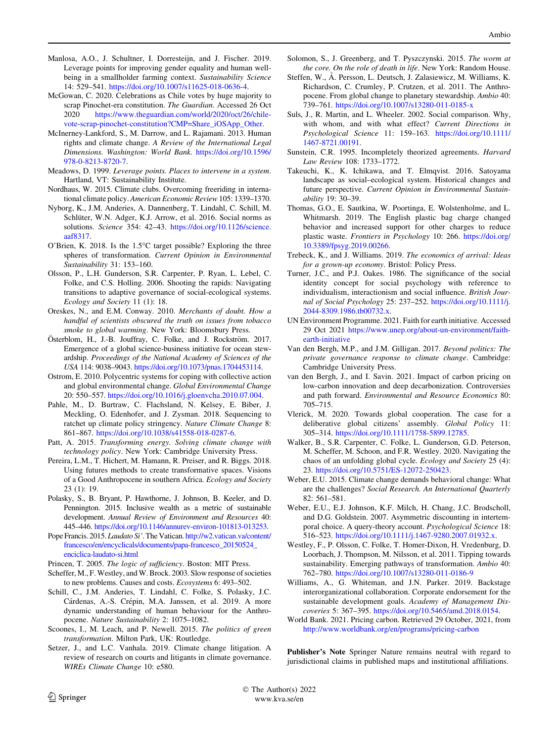- <span id="page-11-0"></span>Manlosa, A.O., J. Schultner, I. Dorresteijn, and J. Fischer. 2019. Leverage points for improving gender equality and human wellbeing in a smallholder farming context. Sustainability Science 14: 529–541. <https://doi.org/10.1007/s11625-018-0636-4>.
- McGowan, C. 2020. Celebrations as Chile votes by huge majority to scrap Pinochet-era constitution. The Guardian. Accessed 26 Oct 2020 [https://www.theguardian.com/world/2020/oct/26/chile](https://www.theguardian.com/world/2020/oct/26/chile-vote-scrap-pinochet-constitution?CMP=Share_iOSApp_Other)[vote-scrap-pinochet-constitution?CMP=Share\\_iOSApp\\_Other.](https://www.theguardian.com/world/2020/oct/26/chile-vote-scrap-pinochet-constitution?CMP=Share_iOSApp_Other)
- McInerney-Lankford, S., M. Darrow, and L. Rajamani. 2013. Human rights and climate change. A Review of the International Legal Dimensions. Washington: World Bank. [https://doi.org/10.1596/](https://doi.org/10.1596/978-0-8213-8720-7) [978-0-8213-8720-7](https://doi.org/10.1596/978-0-8213-8720-7).
- Meadows, D. 1999. Leverage points. Places to intervene in a system. Hartland, VT: Sustainability Institute.
- Nordhaus, W. 2015. Climate clubs. Overcoming freeriding in international climate policy. American Economic Review105: 1339–1370.
- Nyborg, K., J.M. Anderies, A. Dannenberg, T. Lindahl, C. Schill, M. Schlüter, W.N. Adger, K.J. Arrow, et al. 2016. Social norms as solutions. Science 354: 42–43. [https://doi.org/10.1126/science.](https://doi.org/10.1126/science.aaf8317) [aaf8317](https://doi.org/10.1126/science.aaf8317).
- O'Brien, K. 2018. Is the 1.5°C target possible? Exploring the three spheres of transformation. Current Opinion in Environmental Sustainability 31: 153–160.
- Olsson, P., L.H. Gunderson, S.R. Carpenter, P. Ryan, L. Lebel, C. Folke, and C.S. Holling. 2006. Shooting the rapids: Navigating transitions to adaptive governance of social-ecological systems. Ecology and Society 11 (1): 18.
- Oreskes, N., and E.M. Conway. 2010. Merchants of doubt. How a handful of scientists obscured the truth on issues from tobacco smoke to global warming. New York: Bloomsbury Press.
- Österblom, H., J.-B. Jouffray, C. Folke, and J. Rockström. 2017. Emergence of a global science-business initiative for ocean stewardship. Proceedings of the National Academy of Sciences of the USA 114: 9038–9043. <https://doi.org/10.1073/pnas.1704453114>.
- Ostrom, E. 2010. Polycentric systems for coping with collective action and global environmental change. Global Environmental Change 20: 550–557. [https://doi.org/10.1016/j.gloenvcha.2010.07.004.](https://doi.org/10.1016/j.gloenvcha.2010.07.004)
- Pahle, M., D. Burtraw, C. Flachsland, N. Kelsey, E. Biber, J. Meckling, O. Edenhofer, and J. Zysman. 2018. Sequencing to ratchet up climate policy stringency. Nature Climate Change 8: 861–867. [https://doi.org/10.1038/s41558-018-0287-6.](https://doi.org/10.1038/s41558-018-0287-6)
- Patt, A. 2015. Transforming energy. Solving climate change with technology policy. New York: Cambridge University Press.
- Pereira, L.M., T. Hichert, M. Hamann, R. Preiser, and R. Biggs. 2018. Using futures methods to create transformative spaces. Visions of a Good Anthropocene in southern Africa. Ecology and Society 23 (1): 19.
- Polasky, S., B. Bryant, P. Hawthorne, J. Johnson, B. Keeler, and D. Pennington. 2015. Inclusive wealth as a metric of sustainable development. Annual Review of Environment and Resources 40: 445–446. <https://doi.org/10.1146/annurev-environ-101813-013253>.
- Pope Francis. 2015. Laudato Si'. The Vatican. [http://w2.vatican.va/content/](http://w2.vatican.va/content/francesco/en/encyclicals/documents/papa-francesco_20150524_enciclica-laudato-si.html) [francesco/en/encyclicals/documents/papa-francesco\\_20150524\\_](http://w2.vatican.va/content/francesco/en/encyclicals/documents/papa-francesco_20150524_enciclica-laudato-si.html) [enciclica-laudato-si.html](http://w2.vatican.va/content/francesco/en/encyclicals/documents/papa-francesco_20150524_enciclica-laudato-si.html)
- Princen, T. 2005. The logic of sufficiency. Boston: MIT Press.
- Scheffer, M., F. Westley, and W. Brock. 2003. Slow response of societies to new problems. Causes and costs. Ecosystems 6: 493–502.
- Schill, C., J.M. Anderies, T. Lindahl, C. Folke, S. Polasky, J.C. Cárdenas, A.-S. Crépin, M.A. Janssen, et al. 2019. A more dynamic understanding of human behaviour for the Anthropocene. Nature Sustainability 2: 1075–1082.
- Scoones, I., M. Leach, and P. Newell. 2015. The politics of green transformation. Milton Park, UK: Routledge.
- Setzer, J., and L.C. Vanhala. 2019. Climate change litigation. A review of research on courts and litigants in climate governance. WIREs Climate Change 10: e580.
- Solomon, S., J. Greenberg, and T. Pyszczynski. 2015. The worm at the core. On the role of death in life. New York: Random House.
- Steffen, W., Å. Persson, L. Deutsch, J. Zalasiewicz, M. Williams, K. Richardson, C. Crumley, P. Crutzen, et al. 2011. The Anthropocene. From global change to planetary stewardship. Ambio 40: 739–761. <https://doi.org/10.1007/s13280-011-0185-x>
- Suls, J., R. Martin, and L. Wheeler. 2002. Social comparison. Why, with whom, and with what effect? Current Directions in Psychological Science 11: 159–163. [https://doi.org/10.1111/](https://doi.org/10.1111/1467-8721.00191) [1467-8721.00191](https://doi.org/10.1111/1467-8721.00191).
- Sunstein, C.R. 1995. Incompletely theorized agreements. Harvard Law Review 108: 1733–1772.
- Takeuchi, K., K. Ichikawa, and T. Elmqvist. 2016. Satoyama landscape as social–ecological system. Historical changes and future perspective. Current Opinion in Environmental Sustainability 19: 30–39.
- Thomas, G.O., E. Sautkina, W. Poortinga, E. Wolstenholme, and L. Whitmarsh. 2019. The English plastic bag charge changed behavior and increased support for other charges to reduce plastic waste. Frontiers in Psychology 10: 266. [https://doi.org/](https://doi.org/10.3389/fpsyg.2019.00266) [10.3389/fpsyg.2019.00266](https://doi.org/10.3389/fpsyg.2019.00266).
- Trebeck, K., and J. Williams. 2019. The economics of arrival: Ideas for a grown-up economy. Bristol: Policy Press.
- Turner, J.C., and P.J. Oakes. 1986. The significance of the social identity concept for social psychology with reference to individualism, interactionism and social influence. British Journal of Social Psychology 25: 237–252. [https://doi.org/10.1111/j.](https://doi.org/10.1111/j.2044-8309.1986.tb00732.x) [2044-8309.1986.tb00732.x](https://doi.org/10.1111/j.2044-8309.1986.tb00732.x).
- UN Environment Programme. 2021. Faith for earth initiative. Accessed 29 Oct 2021 [https://www.unep.org/about-un-environment/faith](https://www.unep.org/about-un-environment/faith-earth-initiative)[earth-initiative](https://www.unep.org/about-un-environment/faith-earth-initiative)
- Van den Bergh, M.P., and J.M. Gilligan. 2017. Beyond politics: The private governance response to climate change. Cambridge: Cambridge University Press.
- van den Bergh, J., and I. Savin. 2021. Impact of carbon pricing on low-carbon innovation and deep decarbonization. Controversies and path forward. Environmental and Resource Economics 80: 705–715.
- Vlerick, M. 2020. Towards global cooperation. The case for a deliberative global citizens' assembly. Global Policy 11: 305–314. [https://doi.org/10.1111/1758-5899.12785.](https://doi.org/10.1111/1758-5899.12785)
- Walker, B., S.R. Carpenter, C. Folke, L. Gunderson, G.D. Peterson, M. Scheffer, M. Schoon, and F.R. Westley. 2020. Navigating the chaos of an unfolding global cycle. Ecology and Society 25 (4): 23. [https://doi.org/10.5751/ES-12072-250423.](https://doi.org/10.5751/ES-12072-250423)
- Weber, E.U. 2015. Climate change demands behavioral change: What are the challenges? Social Research. An International Quarterly 82: 561–581.
- Weber, E.U., E.J. Johnson, K.F. Milch, H. Chang, J.C. Brodscholl, and D.G. Goldstein. 2007. Asymmetric discounting in intertemporal choice. A query-theory account. Psychological Science 18: 516–523. [https://doi.org/10.1111/j.1467-9280.2007.01932.x.](https://doi.org/10.1111/j.1467-9280.2007.01932.x)
- Westley, F., P. Olsson, C. Folke, T. Homer-Dixon, H. Vredenburg, D. Loorbach, J. Thompson, M. Nilsson, et al. 2011. Tipping towards sustainability. Emerging pathways of transformation. Ambio 40: 762–780. <https://doi.org/10.1007/s13280-011-0186-9>
- Williams, A., G. Whiteman, and J.N. Parker. 2019. Backstage interorganizational collaboration. Corporate endorsement for the sustainable development goals. Academy of Management Discoveries 5: 367–395. <https://doi.org/10.5465/amd.2018.0154>.
- World Bank. 2021. Pricing carbon. Retrieved 29 October, 2021, from <http://www.worldbank.org/en/programs/pricing-carbon>

Publisher's Note Springer Nature remains neutral with regard to jurisdictional claims in published maps and institutional affiliations.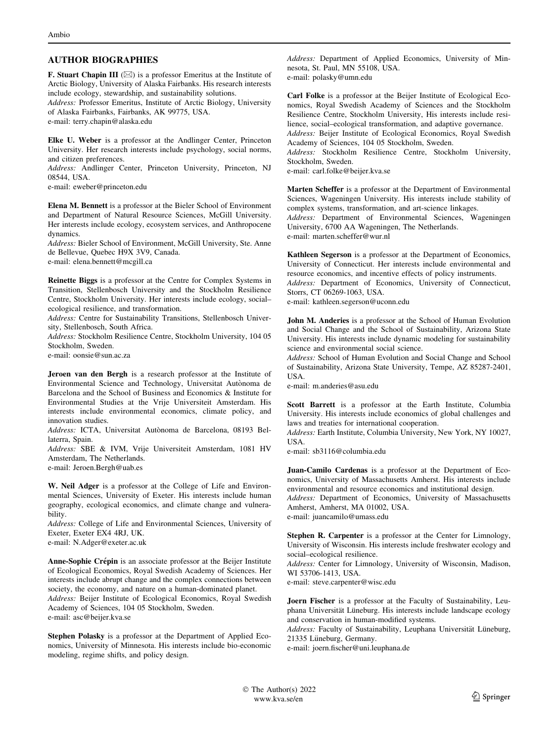### AUTHOR BIOGRAPHIES

**F. Stuart Chapin III** ( $\boxtimes$ ) is a professor Emeritus at the Institute of Arctic Biology, University of Alaska Fairbanks. His research interests include ecology, stewardship, and sustainability solutions.

Address: Professor Emeritus, Institute of Arctic Biology, University of Alaska Fairbanks, Fairbanks, AK 99775, USA.

e-mail: terry.chapin@alaska.edu

Elke U. Weber is a professor at the Andlinger Center, Princeton University. Her research interests include psychology, social norms, and citizen preferences.

Address: Andlinger Center, Princeton University, Princeton, NJ 08544, USA.

e-mail: eweber@princeton.edu

Elena M. Bennett is a professor at the Bieler School of Environment and Department of Natural Resource Sciences, McGill University. Her interests include ecology, ecosystem services, and Anthropocene dynamics.

Address: Bieler School of Environment, McGill University, Ste. Anne de Bellevue, Quebec H9X 3V9, Canada. e-mail: elena.bennett@mcgill.ca

Reinette Biggs is a professor at the Centre for Complex Systems in Transition, Stellenbosch University and the Stockholm Resilience Centre, Stockholm University. Her interests include ecology, social– ecological resilience, and transformation.

Address: Centre for Sustainability Transitions, Stellenbosch University, Stellenbosch, South Africa.

Address: Stockholm Resilience Centre, Stockholm University, 104 05 Stockholm, Sweden.

e-mail: oonsie@sun.ac.za

Jeroen van den Bergh is a research professor at the Institute of Environmental Science and Technology, Universitat Autònoma de Barcelona and the School of Business and Economics & Institute for Environmental Studies at the Vrije Universiteit Amsterdam. His interests include environmental economics, climate policy, and innovation studies.

Address: ICTA, Universitat Autònoma de Barcelona, 08193 Bellaterra, Spain.

Address: SBE & IVM, Vrije Universiteit Amsterdam, 1081 HV Amsterdam, The Netherlands.

e-mail: Jeroen.Bergh@uab.es

W. Neil Adger is a professor at the College of Life and Environmental Sciences, University of Exeter. His interests include human geography, ecological economics, and climate change and vulnerability.

Address: College of Life and Environmental Sciences, University of Exeter, Exeter EX4 4RJ, UK.

e-mail: N.Adger@exeter.ac.uk

Anne-Sophie Crépin is an associate professor at the Beijer Institute of Ecological Economics, Royal Swedish Academy of Sciences. Her interests include abrupt change and the complex connections between society, the economy, and nature on a human-dominated planet. Address: Beijer Institute of Ecological Economics, Royal Swedish

Academy of Sciences, 104 05 Stockholm, Sweden. e-mail: asc@beijer.kva.se

Stephen Polasky is a professor at the Department of Applied Economics, University of Minnesota. His interests include bio-economic modeling, regime shifts, and policy design.

Address: Department of Applied Economics, University of Minnesota, St. Paul, MN 55108, USA. e-mail: polasky@umn.edu

Carl Folke is a professor at the Beijer Institute of Ecological Economics, Royal Swedish Academy of Sciences and the Stockholm Resilience Centre, Stockholm University, His interests include resilience, social–ecological transformation, and adaptive governance. Address: Beijer Institute of Ecological Economics, Royal Swedish Academy of Sciences, 104 05 Stockholm, Sweden.

Address: Stockholm Resilience Centre, Stockholm University, Stockholm, Sweden.

e-mail: carl.folke@beijer.kva.se

Marten Scheffer is a professor at the Department of Environmental Sciences, Wageningen University. His interests include stability of complex systems, transformation, and art-science linkages. Address: Department of Environmental Sciences, Wageningen

University, 6700 AA Wageningen, The Netherlands. e-mail: marten.scheffer@wur.nl

Kathleen Segerson is a professor at the Department of Economics, University of Connecticut. Her interests include environmental and resource economics, and incentive effects of policy instruments. Address: Department of Economics, University of Connecticut, Storrs, CT 06269-1063, USA.

e-mail: kathleen.segerson@uconn.edu

John M. Anderies is a professor at the School of Human Evolution and Social Change and the School of Sustainability, Arizona State University. His interests include dynamic modeling for sustainability science and environmental social science.

Address: School of Human Evolution and Social Change and School of Sustainability, Arizona State University, Tempe, AZ 85287-2401, USA.

e-mail: m.anderies@asu.edu

Scott Barrett is a professor at the Earth Institute, Columbia University. His interests include economics of global challenges and laws and treaties for international cooperation.

Address: Earth Institute, Columbia University, New York, NY 10027, USA.

e-mail: sb3116@columbia.edu

Juan-Camilo Cardenas is a professor at the Department of Economics, University of Massachusetts Amherst. His interests include environmental and resource economics and institutional design.

Address: Department of Economics, University of Massachusetts Amherst, Amherst, MA 01002, USA.

e-mail: juancamilo@umass.edu

Stephen R. Carpenter is a professor at the Center for Limnology, University of Wisconsin. His interests include freshwater ecology and social–ecological resilience.

Address: Center for Limnology, University of Wisconsin, Madison, WI 53706-1413, USA.

e-mail: steve.carpenter@wisc.edu

Joern Fischer is a professor at the Faculty of Sustainability, Leuphana Universität Lüneburg. His interests include landscape ecology and conservation in human-modified systems.

Address: Faculty of Sustainability, Leuphana Universität Lüneburg, 21335 Lüneburg, Germany.

e-mail: joern.fischer@uni.leuphana.de